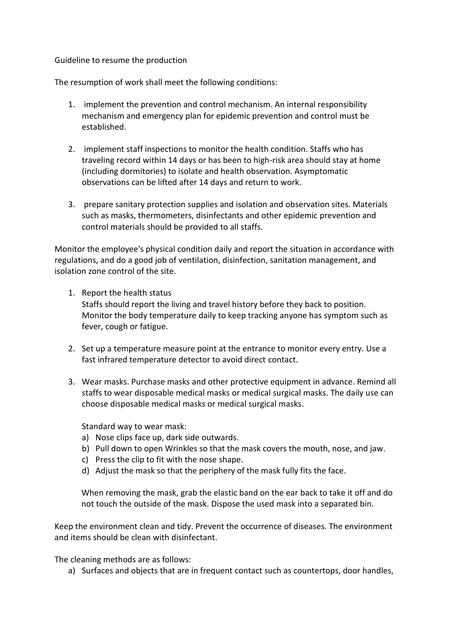### Guideline to resume the production

The resumption of work shall meet the following conditions:

- 1. implement the prevention and control mechanism. An internal responsibility mechanism and emergency plan for epidemic prevention and control must be established.
- 2. implement staff inspections to monitor the health condition. Staffs who has traveling record within 14 days or has been to high-risk area should stay at home (including dormitories) to isolate and health observation. Asymptomatic observations can be lifted after 14 days and return to work.
- 3. prepare sanitary protection supplies and isolation and observation sites. Materials such as masks, thermometers, disinfectants and other epidemic prevention and control materials should be provided to all staffs.

Monitor the employee's physical condition daily and report the situation in accordance with regulations, and do a good job of ventilation, disinfection, sanitation management, and isolation zone control of the site.

1. Report the health status

Staffs should report the living and travel history before they back to position. Monitor the body temperature daily to keep tracking anyone has symptom such as fever, cough or fatigue.

- 2. Set up a temperature measure point at the entrance to monitor every entry. Use a fast infrared temperature detector to avoid direct contact.
- 3. Wear masks. Purchase masks and other protective equipment in advance. Remind all staffs to wear disposable medical masks or medical surgical masks. The daily use can choose disposable medical masks or medical surgical masks.

Standard way to wear mask:

- a) Nose clips face up, dark side outwards.
- b) Pull down to open Wrinkles so that the mask covers the mouth, nose, and jaw.
- c) Press the clip to fit with the nose shape.
- d) Adjust the mask so that the periphery of the mask fully fits the face.

When removing the mask, grab the elastic band on the ear back to take it off and do not touch the outside of the mask. Dispose the used mask into a separated bin.

Keep the environment clean and tidy. Prevent the occurrence of diseases. The environment and items should be clean with disinfectant.

The cleaning methods are as follows:

a) Surfaces and objects that are in frequent contact such as countertops, door handles,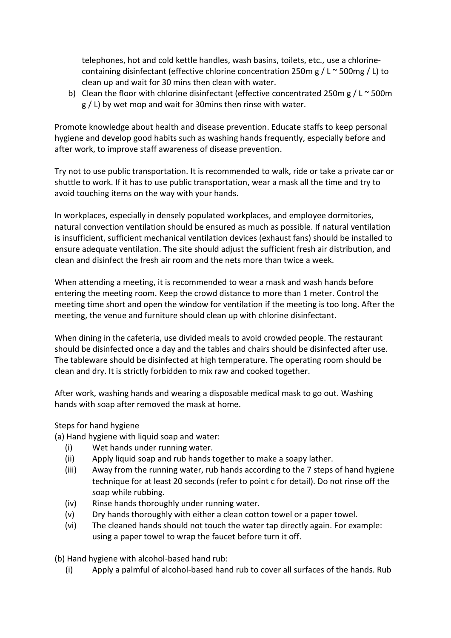telephones, hot and cold kettle handles, wash basins, toilets, etc., use a chlorinecontaining disinfectant (effective chlorine concentration 250m g / L  $\sim$  500mg / L) to clean up and wait for 30 mins then clean with water.

b) Clean the floor with chlorine disinfectant (effective concentrated 250m g / L  $\sim$  500m g / L) by wet mop and wait for 30mins then rinse with water.

Promote knowledge about health and disease prevention. Educate staffs to keep personal hygiene and develop good habits such as washing hands frequently, especially before and after work, to improve staff awareness of disease prevention.

Try not to use public transportation. It is recommended to walk, ride or take a private car or shuttle to work. If it has to use public transportation, wear a mask all the time and try to avoid touching items on the way with your hands.

In workplaces, especially in densely populated workplaces, and employee dormitories, natural convection ventilation should be ensured as much as possible. If natural ventilation is insufficient, sufficient mechanical ventilation devices (exhaust fans) should be installed to ensure adequate ventilation. The site should adjust the sufficient fresh air distribution, and clean and disinfect the fresh air room and the nets more than twice a week.

When attending a meeting, it is recommended to wear a mask and wash hands before entering the meeting room. Keep the crowd distance to more than 1 meter. Control the meeting time short and open the window for ventilation if the meeting is too long. After the meeting, the venue and furniture should clean up with chlorine disinfectant.

When dining in the cafeteria, use divided meals to avoid crowded people. The restaurant should be disinfected once a day and the tables and chairs should be disinfected after use. The tableware should be disinfected at high temperature. The operating room should be clean and dry. It is strictly forbidden to mix raw and cooked together.

After work, washing hands and wearing a disposable medical mask to go out. Washing hands with soap after removed the mask at home.

## Steps for hand hygiene

(a) Hand hygiene with liquid soap and water:

- (i) Wet hands under running water.
- (ii) Apply liquid soap and rub hands together to make a soapy lather.
- (iii) Away from the running water, rub hands according to the 7 steps of hand hygiene technique for at least 20 seconds (refer to point c for detail). Do not rinse off the soap while rubbing.
- (iv) Rinse hands thoroughly under running water.
- (v) Dry hands thoroughly with either a clean cotton towel or a paper towel.
- (vi) The cleaned hands should not touch the water tap directly again. For example: using a paper towel to wrap the faucet before turn it off.

(b) Hand hygiene with alcohol-based hand rub:

(i) Apply a palmful of alcohol-based hand rub to cover all surfaces of the hands. Rub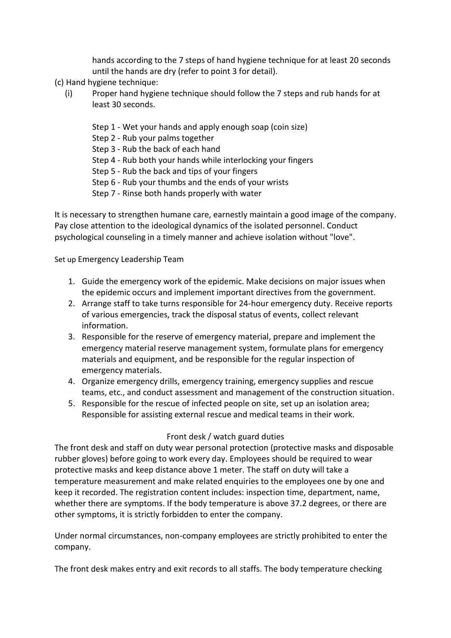hands according to the 7 steps of hand hygiene technique for at least 20 seconds until the hands are dry (refer to point 3 for detail).

(c) Hand hygiene technique:

- (i) Proper hand hygiene technique should follow the 7 steps and rub hands for at least 30 seconds.
	- Step 1 Wet your hands and apply enough soap (coin size)
	- Step 2 Rub your palms together
	- Step 3 Rub the back of each hand
	- Step 4 Rub both your hands while interlocking your fingers
	- Step 5 Rub the back and tips of your fingers
	- Step 6 Rub your thumbs and the ends of your wrists
	- Step 7 Rinse both hands properly with water

It is necessary to strengthen humane care, earnestly maintain a good image of the company. Pay close attention to the ideological dynamics of the isolated personnel. Conduct psychological counseling in a timely manner and achieve isolation without "love".

Set up Emergency Leadership Team

- 1. Guide the emergency work of the epidemic. Make decisions on major issues when the epidemic occurs and implement important directives from the government.
- 2. Arrange staff to take turns responsible for 24-hour emergency duty. Receive reports of various emergencies, track the disposal status of events, collect relevant information.
- 3. Responsible for the reserve of emergency material, prepare and implement the emergency material reserve management system, formulate plans for emergency materials and equipment, and be responsible for the regular inspection of emergency materials.
- 4. Organize emergency drills, emergency training, emergency supplies and rescue teams, etc., and conduct assessment and management of the construction situation.
- 5. Responsible for the rescue of infected people on site, set up an isolation area; Responsible for assisting external rescue and medical teams in their work.

## Front desk / watch guard duties

The front desk and staff on duty wear personal protection (protective masks and disposable rubber gloves) before going to work every day. Employees should be required to wear protective masks and keep distance above 1 meter. The staff on duty will take a temperature measurement and make related enquiries to the employees one by one and keep it recorded. The registration content includes: inspection time, department, name, whether there are symptoms. If the body temperature is above 37.2 degrees, or there are other symptoms, it is strictly forbidden to enter the company.

Under normal circumstances, non-company employees are strictly prohibited to enter the company.

The front desk makes entry and exit records to all staffs. The body temperature checking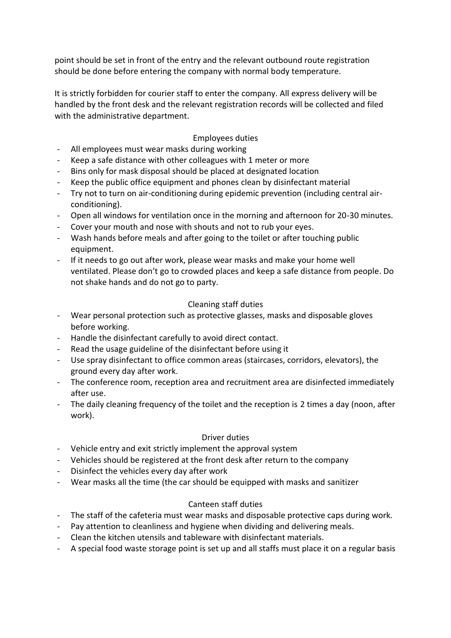point should be set in front of the entry and the relevant outbound route registration should be done before entering the company with normal body temperature.

It is strictly forbidden for courier staff to enter the company. All express delivery will be handled by the front desk and the relevant registration records will be collected and filed with the administrative department.

# Employees duties

- All employees must wear masks during working
- Keep a safe distance with other colleagues with 1 meter or more
- Bins only for mask disposal should be placed at designated location
- Keep the public office equipment and phones clean by disinfectant material
- Try not to turn on air-conditioning during epidemic prevention (including central airconditioning).
- Open all windows for ventilation once in the morning and afternoon for 20-30 minutes.
- Cover your mouth and nose with shouts and not to rub your eyes.
- Wash hands before meals and after going to the toilet or after touching public equipment.
- If it needs to go out after work, please wear masks and make your home well ventilated. Please don't go to crowded places and keep a safe distance from people. Do not shake hands and do not go to party.

## Cleaning staff duties

- Wear personal protection such as protective glasses, masks and disposable gloves before working.
- Handle the disinfectant carefully to avoid direct contact.
- Read the usage guideline of the disinfectant before using it
- Use spray disinfectant to office common areas (staircases, corridors, elevators), the ground every day after work.
- The conference room, reception area and recruitment area are disinfected immediately after use.
- The daily cleaning frequency of the toilet and the reception is 2 times a day (noon, after work).

#### Driver duties

- Vehicle entry and exit strictly implement the approval system
- Vehicles should be registered at the front desk after return to the company
- Disinfect the vehicles every day after work
- Wear masks all the time (the car should be equipped with masks and sanitizer

## Canteen staff duties

- The staff of the cafeteria must wear masks and disposable protective caps during work.
- Pay attention to cleanliness and hygiene when dividing and delivering meals.
- Clean the kitchen utensils and tableware with disinfectant materials.
- A special food waste storage point is set up and all staffs must place it on a regular basis